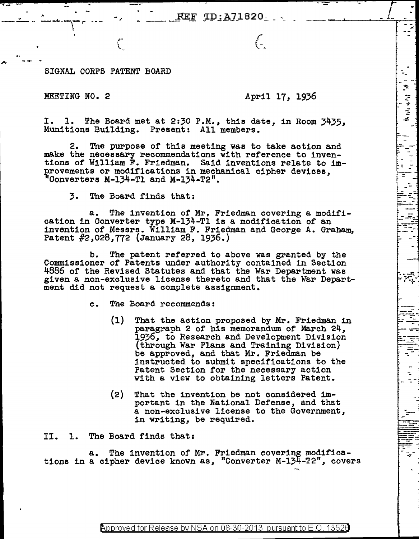SIGNAL CORPS PATENT BOARD

 $\mathfrak{C}$ 

-- <sup>~</sup>

## MEETING NO. 2 April 17, 1936

 $\int_{-\infty}^{\infty}$ 

.<br>. .<br>. .

*, ....... ri* r~, *....* , r .

*=* 

I. 1. The Board met at 2:30 P.M., this date, in Room 3435, Munitions Building. Present: All members.

2. The purpose of this meeting was to take action and make the necessary recommendations with reference to inventions of William F. Friedman. Said inventions relate to improvements or modifications in mechanical cipher devices, "Converters M-134-Tl and M-134-T2".

3. The Board finds that:

a. The invention of Mr, Friedman covering a modification in Converter type M-134-Tl is a modification of an invention of Messrs. William F. Friedman and George A. Graham, Patent #2,028,772 (January 28, 1936.)

b. The patent referred to above was granted by the Commissioner of Patents under authority contained in Section 4886 of the Revised Statutes and that the War Department was given a non-exclusive license thereto and that the War Department did not request a complete assignment.

e. The Board recommends:

- (1) That the action proposed by Mr. Friedman in paragraph 2 of his memorandum of March 24, 1936, to Research and Development Division (through War Plans and Training Division) be approved, and that Mr. Friedman be instructed to submit specifications to the Patent Section for the necessary action with a view to obtaining letters Patent.
- (2) That the invention be not considered important in the National Defense, and that a non-exclusive license to the Government, in writing, be required.

II. 1. The Board finds that:

a. The invention of Mr. Friedman covering modifications in a cipher device known as, "Converter M-134-T2", covers

Approved for Release by NSA on 08-30-2013 pursuant to E.O.